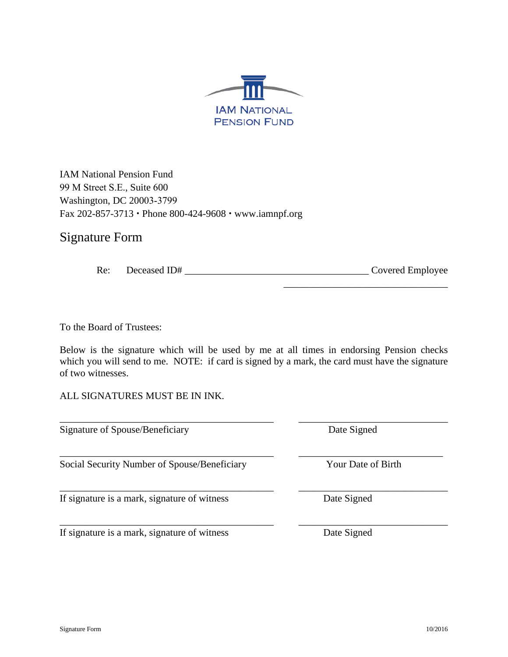

IAM National Pension Fund 99 M Street S.E., Suite 600 Washington, DC 20003-3799 Fax 202-857-3713 Phone 800-424-9608 www.iamnpf.org

# Signature Form

| Re: | Deceased ID# | Covered Employee |  |
|-----|--------------|------------------|--|
|     |              |                  |  |

To the Board of Trustees:

Below is the signature which will be used by me at all times in endorsing Pension checks which you will send to me. NOTE: if card is signed by a mark, the card must have the signature of two witnesses.

\_\_\_\_\_\_\_\_\_\_\_\_\_\_\_\_\_\_\_\_\_\_\_\_\_\_\_\_\_\_\_\_\_\_\_\_\_\_\_\_\_\_\_ \_\_\_\_\_\_\_\_\_\_\_\_\_\_\_\_\_\_\_\_\_\_\_\_\_\_\_\_\_\_

ALL SIGNATURES MUST BE IN INK.

Signature of Spouse/Beneficiary Date Signed

Social Security Number of Spouse/Beneficiary Your Date of Birth

If signature is a mark, signature of witness Date Signed

If signature is a mark, signature of witness Date Signed

\_\_\_\_\_\_\_\_\_\_\_\_\_\_\_\_\_\_\_\_\_\_\_\_\_\_\_\_\_\_\_\_\_\_\_\_\_\_\_\_\_\_\_ \_\_\_\_\_\_\_\_\_\_\_\_\_\_\_\_\_\_\_\_\_\_\_\_\_\_\_\_\_\_

\_\_\_\_\_\_\_\_\_\_\_\_\_\_\_\_\_\_\_\_\_\_\_\_\_\_\_\_\_\_\_\_\_\_\_\_\_\_\_\_\_\_\_ \_\_\_\_\_\_\_\_\_\_\_\_\_\_\_\_\_\_\_\_\_\_\_\_\_\_\_\_\_

\_\_\_\_\_\_\_\_\_\_\_\_\_\_\_\_\_\_\_\_\_\_\_\_\_\_\_\_\_\_\_\_\_

\_\_\_\_\_\_\_\_\_\_\_\_\_\_\_\_\_\_\_\_\_\_\_\_\_\_\_\_\_\_\_\_\_\_\_\_\_\_\_\_\_\_\_ \_\_\_\_\_\_\_\_\_\_\_\_\_\_\_\_\_\_\_\_\_\_\_\_\_\_\_\_\_\_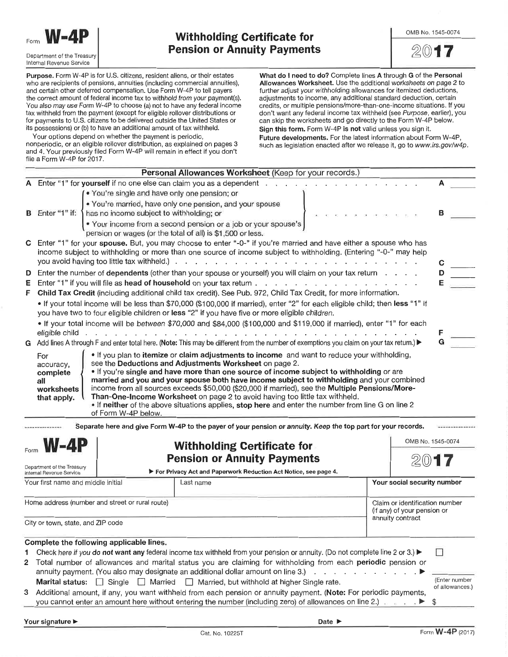

Purpose. Form W-4P is for U.S. citizens, resident aliens, or their estates who are recipients of pensions, annuities (including commercial annuities), and certain other deferred compensation. Use Form W-4P to tell payers the correct amount of federal income tax to withhold from your payment(s). You also may use Form W-4P to choose (a) not to have any federal income tax withheld from the payment (except for eligible rollover distributions or for payments to U.S. citizens to be delivered outside the United States or its possessions) or (b) to have an additional amount of tax withheld.

Your options depend on whether the payment is periodic, nonperiodic, or an eligible rollover distribution, as explained on pages 3 and 4. Your previously filed Form W-4P will remain in effect if you don't What do I need to do? Complete lines A through G of the Personal Allowances Worksheet. Use the additional worksheets on page 2 to further adjust your withholding allowances for itemized deductions, adjustments to income, any additional standard deduction, certain credits, or multiple pensions/more-than-one-income situations. If you don't want any federal income tax withheld (see Purpose, earlier), you can skip the worksheets and go directly to the Form W-4P below. Sign this form. Form W-4P is not valid unless you sign it. Future developments. For the latest information about Form W-4P, such as legislation enacted after we release it, go to www.irs.gov/w4p.

|                                                 | The a Form $vv$ -4P for $2017$ .                                                                                                            | Personal Allowances Worksheet (Keep for your records.)                                                                                                                                                                                                                                                                                                                                                                                                                   |  |                                                               |                   |  |  |
|-------------------------------------------------|---------------------------------------------------------------------------------------------------------------------------------------------|--------------------------------------------------------------------------------------------------------------------------------------------------------------------------------------------------------------------------------------------------------------------------------------------------------------------------------------------------------------------------------------------------------------------------------------------------------------------------|--|---------------------------------------------------------------|-------------------|--|--|
|                                                 |                                                                                                                                             | A Enter "1" for yourself if no one else can claim you as a dependent                                                                                                                                                                                                                                                                                                                                                                                                     |  |                                                               |                   |  |  |
|                                                 | . You're single and have only one pension; or                                                                                               |                                                                                                                                                                                                                                                                                                                                                                                                                                                                          |  |                                                               |                   |  |  |
|                                                 |                                                                                                                                             | . You're married, have only one pension, and your spouse                                                                                                                                                                                                                                                                                                                                                                                                                 |  |                                                               |                   |  |  |
|                                                 | <b>B</b> Enter "1" if: $\left\{ \right.$<br>has no income subject to withholding; or                                                        |                                                                                                                                                                                                                                                                                                                                                                                                                                                                          |  |                                                               |                   |  |  |
|                                                 |                                                                                                                                             | . Your income from a second pension or a job or your spouse's<br>pension or wages (or the total of all) is \$1,500 or less.                                                                                                                                                                                                                                                                                                                                              |  |                                                               |                   |  |  |
|                                                 | you avoid having too little tax withheld.).                                                                                                 | C Enter "1" for your spouse. But, you may choose to enter "-0-" if you're married and have either a spouse who has<br>income subject to withholding or more than one source of income subject to withholding. (Entering "-0-" may help<br>the second contract of the second contract of the second contract of the second contract of the second contract of the second contract of the second contract of the second contract of the second contract of the second cont |  |                                                               | С                 |  |  |
| D.                                              | Enter the number of dependents (other than your spouse or yourself) you will claim on your tax return $\ldots$ .                            |                                                                                                                                                                                                                                                                                                                                                                                                                                                                          |  |                                                               |                   |  |  |
| Е.                                              |                                                                                                                                             |                                                                                                                                                                                                                                                                                                                                                                                                                                                                          |  |                                                               |                   |  |  |
| F.                                              |                                                                                                                                             | Child Tax Credit (including additional child tax credit). See Pub. 972, Child Tax Credit, for more information.                                                                                                                                                                                                                                                                                                                                                          |  |                                                               |                   |  |  |
|                                                 |                                                                                                                                             | • If your total income will be less than \$70,000 (\$100,000 if married), enter "2" for each eligible child; then less "1" if<br>you have two to four eligible children or less "2" if you have five or more eligible children.                                                                                                                                                                                                                                          |  |                                                               |                   |  |  |
|                                                 |                                                                                                                                             | • If your total income will be between \$70,000 and \$84,000 (\$100,000 and \$119,000 if married), enter "1" for each                                                                                                                                                                                                                                                                                                                                                    |  |                                                               |                   |  |  |
|                                                 |                                                                                                                                             |                                                                                                                                                                                                                                                                                                                                                                                                                                                                          |  |                                                               |                   |  |  |
|                                                 |                                                                                                                                             | G Add lines A through F and enter total here. (Note: This may be different from the number of exemptions you claim on your tax return.) ▶                                                                                                                                                                                                                                                                                                                                |  |                                                               |                   |  |  |
|                                                 | worksheets<br>that apply.<br>of Form W-4P below.                                                                                            | income from all sources exceeds \$50,000 (\$20,000 if married), see the Multiple Pensions/More-<br>Than-One-Income Worksheet on page 2 to avoid having too little tax withheld.<br>. If neither of the above situations applies, stop here and enter the number from line G on line 2<br>Separate here and give Form W-4P to the payer of your pension or annuity. Keep the top part for your records.                                                                   |  |                                                               |                   |  |  |
|                                                 |                                                                                                                                             |                                                                                                                                                                                                                                                                                                                                                                                                                                                                          |  |                                                               | OMB No. 1545-0074 |  |  |
| <b>W-4P</b>                                     |                                                                                                                                             | <b>Withholding Certificate for</b>                                                                                                                                                                                                                                                                                                                                                                                                                                       |  |                                                               |                   |  |  |
|                                                 |                                                                                                                                             | <b>Pension or Annuity Payments</b>                                                                                                                                                                                                                                                                                                                                                                                                                                       |  |                                                               |                   |  |  |
|                                                 | Department of the Treasury<br>Internal Revenue Service                                                                                      | For Privacy Act and Paperwork Reduction Act Notice, see page 4.                                                                                                                                                                                                                                                                                                                                                                                                          |  |                                                               |                   |  |  |
|                                                 | Your first name and middle initial                                                                                                          | Last name                                                                                                                                                                                                                                                                                                                                                                                                                                                                |  | Your social security number                                   |                   |  |  |
| Home address (number and street or rural route) |                                                                                                                                             |                                                                                                                                                                                                                                                                                                                                                                                                                                                                          |  | Claim or identification number<br>(if any) of your pension or |                   |  |  |
|                                                 | City or town, state, and ZIP code                                                                                                           |                                                                                                                                                                                                                                                                                                                                                                                                                                                                          |  | annuity contract                                              |                   |  |  |
|                                                 | Complete the following applicable lines.                                                                                                    |                                                                                                                                                                                                                                                                                                                                                                                                                                                                          |  |                                                               |                   |  |  |
| 1                                               |                                                                                                                                             | Check here if you do not want any federal income tax withheld from your pension or annuity. (Do not complete line 2 or 3.) ▶                                                                                                                                                                                                                                                                                                                                             |  |                                                               |                   |  |  |
| $\mathbf{2}$                                    |                                                                                                                                             | Total number of allowances and marital status you are claiming for withholding from each periodic pension or                                                                                                                                                                                                                                                                                                                                                             |  |                                                               |                   |  |  |
|                                                 |                                                                                                                                             | annuity payment. (You also may designate an additional dollar amount on line 3.)                                                                                                                                                                                                                                                                                                                                                                                         |  |                                                               |                   |  |  |
|                                                 | (Enter number<br><b>Marital status:</b> $\Box$ Single $\Box$ Married $\Box$ Married, but withhold at higher Single rate.<br>of allowances.) |                                                                                                                                                                                                                                                                                                                                                                                                                                                                          |  |                                                               |                   |  |  |
|                                                 |                                                                                                                                             |                                                                                                                                                                                                                                                                                                                                                                                                                                                                          |  |                                                               |                   |  |  |
| 3                                               |                                                                                                                                             | Additional amount, if any, you want withheld from each pension or annuity payment. (Note: For periodic payments,<br>you cannot enter an amount here without entering the number (including zero) of allowances on line 2.)                                                                                                                                                                                                                                               |  |                                                               | \$                |  |  |

Date  $\blacktriangleright$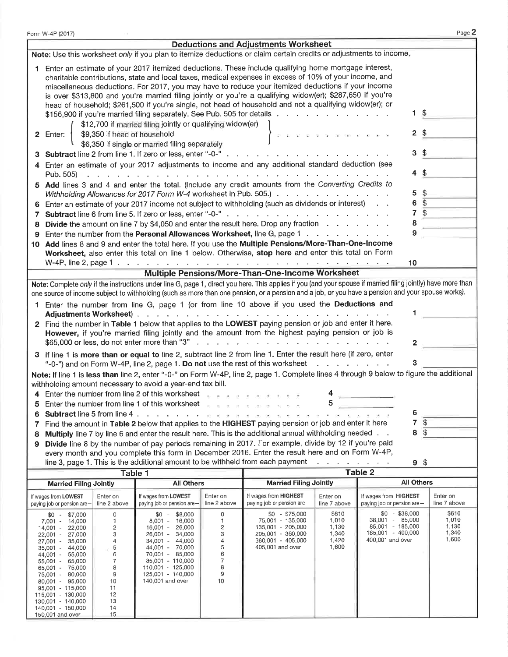| Page 2<br>Form W-4P (2017)                                                                                                                                                                                      |                                                                                                                                                                                                                                                                                                                                                                                                                                   |                              |                                                    |                          |                                                                                                                                                                                                                                                                                                                    |                                          |                                                     |                                 |                          |
|-----------------------------------------------------------------------------------------------------------------------------------------------------------------------------------------------------------------|-----------------------------------------------------------------------------------------------------------------------------------------------------------------------------------------------------------------------------------------------------------------------------------------------------------------------------------------------------------------------------------------------------------------------------------|------------------------------|----------------------------------------------------|--------------------------|--------------------------------------------------------------------------------------------------------------------------------------------------------------------------------------------------------------------------------------------------------------------------------------------------------------------|------------------------------------------|-----------------------------------------------------|---------------------------------|--------------------------|
| <b>Deductions and Adjustments Worksheet</b>                                                                                                                                                                     |                                                                                                                                                                                                                                                                                                                                                                                                                                   |                              |                                                    |                          |                                                                                                                                                                                                                                                                                                                    |                                          |                                                     |                                 |                          |
| Note: Use this worksheet only if you plan to itemize deductions or claim certain credits or adjustments to income.                                                                                              |                                                                                                                                                                                                                                                                                                                                                                                                                                   |                              |                                                    |                          |                                                                                                                                                                                                                                                                                                                    |                                          |                                                     |                                 |                          |
|                                                                                                                                                                                                                 | Enter an estimate of your 2017 itemized deductions. These include qualifying home mortgage interest,<br>charitable contributions, state and local taxes, medical expenses in excess of 10% of your income, and<br>miscellaneous deductions. For 2017, you may have to reduce your itemized deductions if your income<br>is over \$313,800 and you're married filing jointly or you're a qualifying widow(er); \$287,650 if you're |                              |                                                    |                          |                                                                                                                                                                                                                                                                                                                    |                                          |                                                     |                                 |                          |
|                                                                                                                                                                                                                 | head of household; \$261,500 if you're single, not head of household and not a qualifying widow(er); or<br>-\$<br>1.<br>\$156,900 if you're married filing separately. See Pub. 505 for details<br>\$12,700 if married filing jointly or qualifying widow(er)                                                                                                                                                                     |                              |                                                    |                          |                                                                                                                                                                                                                                                                                                                    |                                          |                                                     |                                 |                          |
| 2                                                                                                                                                                                                               | Enter:                                                                                                                                                                                                                                                                                                                                                                                                                            | \$9,350 if head of household | \$6,350 if single or married filing separately     |                          |                                                                                                                                                                                                                                                                                                                    |                                          |                                                     | $2 \text{ } $$                  |                          |
|                                                                                                                                                                                                                 |                                                                                                                                                                                                                                                                                                                                                                                                                                   |                              |                                                    |                          | Subtract line 2 from line 1. If zero or less, enter "-0-"                                                                                                                                                                                                                                                          |                                          |                                                     | 3 <sup>3</sup>                  |                          |
| 4                                                                                                                                                                                                               | Pub. 505)                                                                                                                                                                                                                                                                                                                                                                                                                         |                              | and a state of the state                           |                          | Enter an estimate of your 2017 adjustments to income and any additional standard deduction (see                                                                                                                                                                                                                    |                                          |                                                     | $\boldsymbol{\mathsf{\$}}$<br>4 |                          |
| 5.                                                                                                                                                                                                              |                                                                                                                                                                                                                                                                                                                                                                                                                                   |                              |                                                    |                          | Add lines 3 and 4 and enter the total. (Include any credit amounts from the Converting Credits to                                                                                                                                                                                                                  |                                          |                                                     |                                 |                          |
|                                                                                                                                                                                                                 |                                                                                                                                                                                                                                                                                                                                                                                                                                   |                              |                                                    |                          | Withholding Allowances for 2017 Form W-4 worksheet in Pub. 505.)                                                                                                                                                                                                                                                   |                                          |                                                     | \$<br>5                         |                          |
| 6                                                                                                                                                                                                               |                                                                                                                                                                                                                                                                                                                                                                                                                                   |                              |                                                    |                          | Enter an estimate of your 2017 income not subject to withholding (such as dividends or interest)                                                                                                                                                                                                                   |                                          |                                                     | \$<br>6                         |                          |
| 7                                                                                                                                                                                                               |                                                                                                                                                                                                                                                                                                                                                                                                                                   |                              |                                                    |                          |                                                                                                                                                                                                                                                                                                                    |                                          |                                                     | $\overline{\mathcal{L}}$<br>7   |                          |
| 8                                                                                                                                                                                                               |                                                                                                                                                                                                                                                                                                                                                                                                                                   |                              |                                                    |                          | <b>Divide</b> the amount on line 7 by \$4,050 and enter the result here. Drop any fraction $\ldots$                                                                                                                                                                                                                |                                          |                                                     | 8                               |                          |
| 9                                                                                                                                                                                                               |                                                                                                                                                                                                                                                                                                                                                                                                                                   |                              |                                                    |                          | Enter the number from the Personal Allowances Worksheet, line G, page 1                                                                                                                                                                                                                                            |                                          |                                                     | 9                               |                          |
| 10                                                                                                                                                                                                              |                                                                                                                                                                                                                                                                                                                                                                                                                                   |                              |                                                    |                          | Add lines 8 and 9 and enter the total here. If you use the Multiple Pensions/More-Than-One-Income                                                                                                                                                                                                                  |                                          |                                                     |                                 |                          |
|                                                                                                                                                                                                                 |                                                                                                                                                                                                                                                                                                                                                                                                                                   |                              |                                                    |                          | Worksheet, also enter this total on line 1 below. Otherwise, stop here and enter this total on Form                                                                                                                                                                                                                |                                          |                                                     |                                 |                          |
|                                                                                                                                                                                                                 |                                                                                                                                                                                                                                                                                                                                                                                                                                   |                              |                                                    |                          | W-4P, line 2, page 1 $\ldots$ $\ldots$ $\ldots$ $\ldots$ $\ldots$ $\ldots$ $\ldots$ $\ldots$ $\ldots$ $\ldots$ $\ldots$ $\ldots$                                                                                                                                                                                   |                                          |                                                     | 10                              |                          |
|                                                                                                                                                                                                                 |                                                                                                                                                                                                                                                                                                                                                                                                                                   |                              |                                                    |                          | Multiple Pensions/More-Than-One-Income Worksheet                                                                                                                                                                                                                                                                   |                                          |                                                     |                                 |                          |
|                                                                                                                                                                                                                 |                                                                                                                                                                                                                                                                                                                                                                                                                                   |                              |                                                    |                          | Note: Complete only if the instructions under line G, page 1, direct you here. This applies if you (and your spouse if married filing jointly) have more than<br>one source of income subject to withholding (such as more than one pension, or a pension and a job, or you have a pension and your spouse works). |                                          |                                                     |                                 |                          |
|                                                                                                                                                                                                                 |                                                                                                                                                                                                                                                                                                                                                                                                                                   |                              | Adjustments Worksheet)                             |                          | Enter the number from line G, page 1 (or from line 10 above if you used the Deductions and                                                                                                                                                                                                                         |                                          |                                                     |                                 |                          |
|                                                                                                                                                                                                                 |                                                                                                                                                                                                                                                                                                                                                                                                                                   |                              |                                                    |                          | 2 Find the number in Table 1 below that applies to the LOWEST paying pension or job and enter it here.                                                                                                                                                                                                             |                                          |                                                     |                                 |                          |
|                                                                                                                                                                                                                 |                                                                                                                                                                                                                                                                                                                                                                                                                                   |                              |                                                    |                          | However, if you're married filing jointly and the amount from the highest paying pension or job is                                                                                                                                                                                                                 |                                          |                                                     |                                 |                          |
|                                                                                                                                                                                                                 |                                                                                                                                                                                                                                                                                                                                                                                                                                   |                              |                                                    |                          |                                                                                                                                                                                                                                                                                                                    |                                          |                                                     | 2                               |                          |
|                                                                                                                                                                                                                 |                                                                                                                                                                                                                                                                                                                                                                                                                                   |                              |                                                    |                          | 3 If line 1 is more than or equal to line 2, subtract line 2 from line 1. Enter the result here (if zero, enter<br>"-0-") and on Form W-4P, line 2, page 1. Do not use the rest of this worksheet                                                                                                                  | and a state of the state of the state of |                                                     |                                 |                          |
|                                                                                                                                                                                                                 | Note: If line 1 is less than line 2, enter "-0-" on Form W-4P, line 2, page 1. Complete lines 4 through 9 below to figure the additional                                                                                                                                                                                                                                                                                          |                              |                                                    |                          |                                                                                                                                                                                                                                                                                                                    |                                          |                                                     |                                 |                          |
| withholding amount necessary to avoid a year-end tax bill.                                                                                                                                                      |                                                                                                                                                                                                                                                                                                                                                                                                                                   |                              |                                                    |                          |                                                                                                                                                                                                                                                                                                                    |                                          |                                                     |                                 |                          |
|                                                                                                                                                                                                                 | 4 Enter the number from line 2 of this worksheet<br>$\sim$                                                                                                                                                                                                                                                                                                                                                                        |                              |                                                    |                          |                                                                                                                                                                                                                                                                                                                    |                                          |                                                     |                                 |                          |
| 5                                                                                                                                                                                                               | Enter the number from line 1 of this worksheet<br>5                                                                                                                                                                                                                                                                                                                                                                               |                              |                                                    |                          |                                                                                                                                                                                                                                                                                                                    |                                          |                                                     |                                 |                          |
| 6<br>Subtract line 5 from line 4.<br>and the state<br>6                                                                                                                                                         |                                                                                                                                                                                                                                                                                                                                                                                                                                   |                              |                                                    |                          |                                                                                                                                                                                                                                                                                                                    |                                          |                                                     |                                 |                          |
| 7<br>\$<br>Find the amount in Table 2 below that applies to the HIGHEST paying pension or job and enter it here<br>7                                                                                            |                                                                                                                                                                                                                                                                                                                                                                                                                                   |                              |                                                    |                          |                                                                                                                                                                                                                                                                                                                    |                                          |                                                     |                                 |                          |
| $\sqrt{3}$<br>8<br>Multiply line 7 by line 6 and enter the result here. This is the additional annual withholding needed.<br>8                                                                                  |                                                                                                                                                                                                                                                                                                                                                                                                                                   |                              |                                                    |                          |                                                                                                                                                                                                                                                                                                                    |                                          |                                                     |                                 |                          |
| Divide line 8 by the number of pay periods remaining in 2017. For example, divide by 12 if you're paid<br>9                                                                                                     |                                                                                                                                                                                                                                                                                                                                                                                                                                   |                              |                                                    |                          |                                                                                                                                                                                                                                                                                                                    |                                          |                                                     |                                 |                          |
| every month and you complete this form in December 2016. Enter the result here and on Form W-4P,<br>line 3, page 1. This is the additional amount to be withheld from each payment<br>فالعراق والمتعاط المواطنة |                                                                                                                                                                                                                                                                                                                                                                                                                                   |                              |                                                    |                          |                                                                                                                                                                                                                                                                                                                    |                                          |                                                     |                                 |                          |
|                                                                                                                                                                                                                 | 9 <sup>°</sup><br><b>Table 2</b><br>Table 1                                                                                                                                                                                                                                                                                                                                                                                       |                              |                                                    |                          |                                                                                                                                                                                                                                                                                                                    |                                          |                                                     |                                 |                          |
|                                                                                                                                                                                                                 |                                                                                                                                                                                                                                                                                                                                                                                                                                   |                              | <b>All Others</b>                                  |                          | <b>Married Filing Jointly</b>                                                                                                                                                                                                                                                                                      |                                          |                                                     | <b>All Others</b>               |                          |
|                                                                                                                                                                                                                 | <b>Married Filing Jointly</b>                                                                                                                                                                                                                                                                                                                                                                                                     |                              |                                                    |                          |                                                                                                                                                                                                                                                                                                                    |                                          |                                                     |                                 |                          |
|                                                                                                                                                                                                                 | If wages from LOWEST<br>paying job or pension are-                                                                                                                                                                                                                                                                                                                                                                                | Enter on<br>line 2 above     | If wages from LOWEST<br>paying job or pension are- | Enter on<br>line 2 above | If wages from HIGHEST<br>paying job or pension are-                                                                                                                                                                                                                                                                | Enter on<br>line 7 above                 | If wages from HIGHEST<br>paying job or pension are- |                                 | Enter on<br>line 7 above |

| If wages from <b>LOWEST</b>                                                                                                                                                                                                                                                                                                                                                                                                  | Enter on                                                                 | If wages from LOWEST                                                                                                                                                                                                                                            | Enter on                                   | If wages from HIGHEST                                                                                                      | Enter on                                            | If wages from HIGHEST                                                                                         | Enter on                                  |
|------------------------------------------------------------------------------------------------------------------------------------------------------------------------------------------------------------------------------------------------------------------------------------------------------------------------------------------------------------------------------------------------------------------------------|--------------------------------------------------------------------------|-----------------------------------------------------------------------------------------------------------------------------------------------------------------------------------------------------------------------------------------------------------------|--------------------------------------------|----------------------------------------------------------------------------------------------------------------------------|-----------------------------------------------------|---------------------------------------------------------------------------------------------------------------|-------------------------------------------|
| paying job or pension are-                                                                                                                                                                                                                                                                                                                                                                                                   | line 2 above                                                             | paying job or pension are-                                                                                                                                                                                                                                      | line 2 above                               | paying job or pension are-                                                                                                 | line 7 above                                        | paying job or pension are-                                                                                    | line 7 above                              |
| \$0<br>\$7,000<br>$\overline{\phantom{a}}$<br>7,001<br>14,000<br>$\sim$<br>14,001<br>22,000<br>$\sim$<br>27,000<br>22,001<br>$\sim$<br>35,000<br>27,001<br>$\sim$<br>44,000<br>35,001<br>$\sim$<br>$44,001 -$<br>55,000<br>$55,001 -$<br>65,000<br>75.000<br>$65.001 -$<br>75,001 -<br>80,000<br>95.000<br>$80,001 -$<br>95,001 - 115,000<br>115,001 - 130,000<br>130,001 - 140,000<br>140,001 - 150,000<br>150.001 and over | 0<br>2<br>3<br>4<br>5<br>6<br>8<br>9<br>10<br>11<br>12<br>13<br>14<br>15 | \$8,000<br>\$0<br>$\sim$<br>8,001<br>16,000<br>$\sim$<br>26,000<br>$16,001 -$<br>$26,001 -$<br>34,000<br>44,000<br>$34.001 -$<br>$44.001 -$<br>70,000<br>85.000<br>$70,001 -$<br>85.001 - 110.000<br>110.001 - 125.000<br>125,001 - 140,000<br>140,001 and over | 0<br>2<br>3<br>4<br>5<br>6<br>8<br>9<br>10 | $-$ \$75,000<br>\$0<br>75,001 - 135,000<br>135.001 - 205.000<br>205.001 - 360.000<br>360,001 - 405,000<br>405,001 and over | \$610<br>1,010<br>1.130<br>340. ا<br>1,420<br>1,600 | $-$ \$38,000<br>\$0<br>38,001<br>$-85,000$<br>85,001<br>- 185,000<br>185.001<br>- 400,000<br>400,001 and over | \$610<br>1,010<br>1,130<br>1,340<br>1,600 |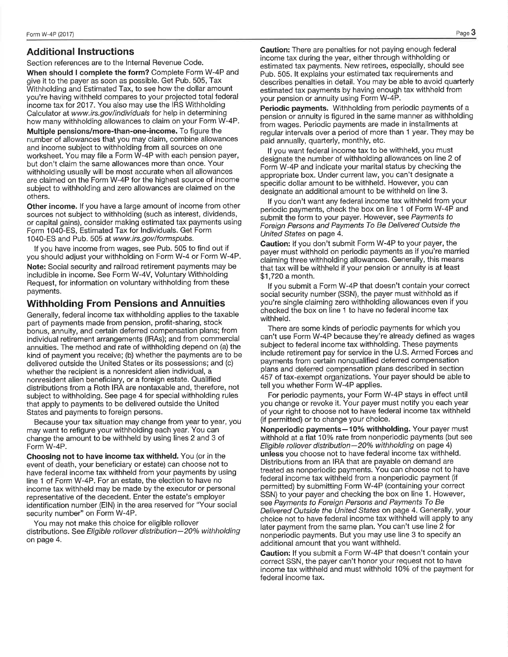payments.

#### **Additional Instructions**

Section references are to the Internal Revenue Code.

When should I complete the form? Complete Form W-4P and give it to the payer as soon as possible. Get Pub. 505, Tax Withholding and Estimated Tax, to see how the dollar amount you're having withheld compares to your projected total federal income tax for 2017. You also may use the IRS Withholding Calculator at www.irs.gov/individuals for help in determining how many withholding allowances to claim on your Form W-4P.

Multiple pensions/more-than-one-income. To figure the number of allowances that you may claim, combine allowances and income subject to withholding from all sources on one worksheet. You may file a Form W-4P with each pension payer, but don't claim the same allowances more than once. Your withholding usually will be most accurate when all allowances are claimed on the Form W-4P for the highest source of income subject to withholding and zero allowances are claimed on the others.

Other income. If you have a large amount of income from other sources not subject to withholding (such as interest, dividends, or capital gains), consider making estimated tax payments using Form 1040-ES, Estimated Tax for Individuals. Get Form 1040-ES and Pub. 505 at www.irs.gov/formspubs.

If you have income from wages, see Pub. 505 to find out if you should adjust your withholding on Form W-4 or Form W-4P. Note: Social security and railroad retirement payments may be includible in income. See Form W-4V, Voluntary Withholding Request, for information on voluntary withholding from these

#### **Withholding From Pensions and Annuities**

Generally, federal income tax withholding applies to the taxable part of payments made from pension, profit-sharing, stock bonus, annuity, and certain deferred compensation plans; from individual retirement arrangements (IRAs); and from commercial annuities. The method and rate of withholding depend on (a) the kind of payment you receive; (b) whether the payments are to be delivered outside the United States or its possessions; and (c) whether the recipient is a nonresident alien individual, a nonresident alien beneficiary, or a foreign estate. Qualified distributions from a Roth IRA are nontaxable and, therefore, not subject to withholding. See page 4 for special withholding rules that apply to payments to be delivered outside the United States and payments to foreign persons.

Because your tax situation may change from year to year, you may want to refigure your withholding each year. You can change the amount to be withheld by using lines 2 and 3 of Form W-4P.

Choosing not to have income tax withheld. You (or in the event of death, your beneficiary or estate) can choose not to have federal income tax withheld from your payments by using line 1 of Form W-4P. For an estate, the election to have no income tax withheld may be made by the executor or personal representative of the decedent. Enter the estate's employer identification number (EIN) in the area reserved for "Your social security number" on Form W-4P.

You may not make this choice for eligible rollover distributions. See Eligible rollover distribution-20% withholding on page 4.

Caution: There are penalties for not paying enough federal income tax during the year, either through withholding or estimated tax payments. New retirees, especially, should see Pub. 505. It explains your estimated tax requirements and describes penalties in detail. You may be able to avoid quarterly estimated tax payments by having enough tax withheld from your pension or annuity using Form W-4P.

Periodic payments. Withholding from periodic payments of a pension or annuity is figured in the same manner as withholding from wages. Periodic payments are made in installments at regular intervals over a period of more than 1 year. They may be paid annually, quarterly, monthly, etc.

If you want federal income tax to be withheld, you must designate the number of withholding allowances on line 2 of Form W-4P and indicate your marital status by checking the appropriate box. Under current law, you can't designate a specific dollar amount to be withheld. However, you can designate an additional amount to be withheld on line 3.

If you don't want any federal income tax withheld from your periodic payments, check the box on line 1 of Form W-4P and submit the form to your payer. However, see Payments to Foreign Persons and Payments To Be Delivered Outside the United States on page 4.

Caution: If you don't submit Form W-4P to your payer, the payer must withhold on periodic payments as if you're married claiming three withholding allowances. Generally, this means that tax will be withheld if your pension or annuity is at least \$1,720 a month.

If you submit a Form W-4P that doesn't contain your correct social security number (SSN), the payer must withhold as if you're single claiming zero withholding allowances even if you checked the box on line 1 to have no federal income tax withheld.

There are some kinds of periodic payments for which you can't use Form W-4P because they're already defined as wages subject to federal income tax withholding. These payments include retirement pay for service in the U.S. Armed Forces and payments from certain nonqualified deferred compensation plans and deferred compensation plans described in section 457 of tax-exempt organizations. Your payer should be able to tell you whether Form W-4P applies.

For periodic payments, your Form W-4P stays in effect until vou change or revoke it. Your payer must notify you each year of your right to choose not to have federal income tax withheld (if permitted) or to change your choice.

Nonperiodic payments-10% withholding. Your payer must withhold at a flat 10% rate from nonperiodic payments (but see Eligible rollover distribution-20% withholding on page 4) unless you choose not to have federal income tax withheld. Distributions from an IRA that are payable on demand are treated as nonperiodic payments. You can choose not to have federal income tax withheld from a nonperiodic payment (if permitted) by submitting Form W-4P (containing your correct SSN) to your payer and checking the box on line 1. However, see Payments to Foreign Persons and Payments To Be Delivered Outside the United States on page 4. Generally, your choice not to have federal income tax withheld will apply to any later payment from the same plan. You can't use line 2 for nonperiodic payments. But you may use line 3 to specify an additional amount that you want withheld.

Caution: If you submit a Form W-4P that doesn't contain your correct SSN, the payer can't honor your request not to have income tax withheld and must withhold 10% of the payment for federal income tax.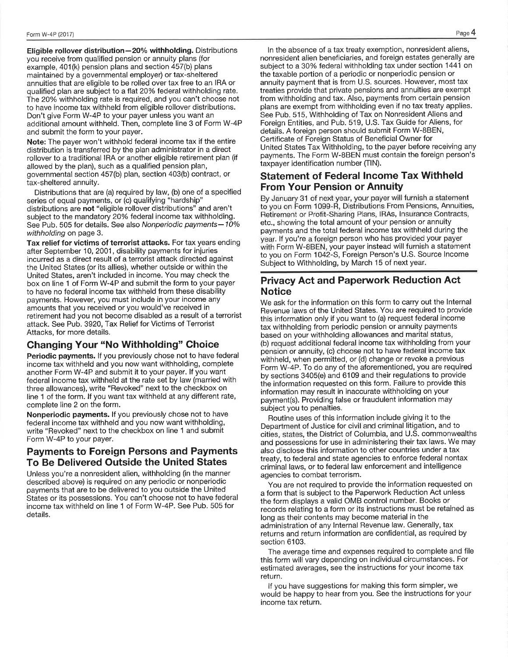Eligible rollover distribution-20% withholding. Distributions you receive from qualified pension or annuity plans (for example, 401(k) pension plans and section 457(b) plans maintained by a governmental emplover) or tax-sheltered annuities that are eligible to be rolled over tax free to an IRA or qualified plan are subject to a flat 20% federal withholding rate. The 20% withholding rate is required, and you can't choose not to have income tax withheld from eligible rollover distributions. Don't give Form W-4P to your payer unless you want an additional amount withheld. Then, complete line 3 of Form W-4P and submit the form to your payer.

Note: The payer won't withhold federal income tax if the entire distribution is transferred by the plan administrator in a direct rollover to a traditional IRA or another eligible retirement plan (if allowed by the plan), such as a qualified pension plan, governmental section 457(b) plan, section 403(b) contract, or tax-sheltered annuity.

Distributions that are (a) required by law, (b) one of a specified series of equal payments, or (c) qualifying "hardship" distributions are not "eligible rollover distributions" and aren't subject to the mandatory 20% federal income tax withholding. See Pub. 505 for details. See also Nonperiodic payments-10% withholding on page 3.

Tax relief for victims of terrorist attacks. For tax years ending after September 10, 2001, disability payments for injuries incurred as a direct result of a terrorist attack directed against the United States (or its allies), whether outside or within the United States, aren't included in income. You may check the box on line 1 of Form W-4P and submit the form to your payer to have no federal income tax withheld from these disability payments. However, you must include in your income any amounts that you received or you would've received in retirement had you not become disabled as a result of a terrorist attack. See Pub. 3920, Tax Relief for Victims of Terrorist Attacks, for more details.

#### **Changing Your "No Withholding" Choice**

Periodic payments. If you previously chose not to have federal income tax withheld and you now want withholding, complete another Form W-4P and submit it to your payer. If you want federal income tax withheld at the rate set by law (married with three allowances), write "Revoked" next to the checkbox on line 1 of the form. If you want tax withheld at any different rate, complete line 2 on the form.

Nonperiodic payments. If you previously chose not to have federal income tax withheld and you now want withholding, write "Revoked" next to the checkbox on line 1 and submit Form W-4P to your payer.

### **Payments to Foreign Persons and Payments** To Be Delivered Outside the United States

Unless you're a nonresident alien, withholding (in the manner described above) is required on any periodic or nonperiodic payments that are to be delivered to you outside the United States or its possessions. You can't choose not to have federal income tax withheld on line 1 of Form W-4P. See Pub. 505 for details.

In the absence of a tax treaty exemption, nonresident aliens, nonresident alien beneficiaries, and foreign estates generally are subject to a 30% federal withholding tax under section 1441 on the taxable portion of a periodic or nonperiodic pension or annuity payment that is from U.S. sources. However, most tax treaties provide that private pensions and annuities are exempt from withholding and tax. Also, payments from certain pension plans are exempt from withholding even if no tax treaty applies. See Pub. 515, Withholding of Tax on Nonresident Aliens and Foreign Entities, and Pub. 519, U.S. Tax Guide for Aliens, for details. A foreign person should submit Form W-8BEN, Certificate of Foreign Status of Beneficial Owner for United States Tax Withholding, to the payer before receiving any payments. The Form W-8BEN must contain the foreign person's taxpayer identification number (TIN).

## **Statement of Federal Income Tax Withheld From Your Pension or Annuity**

By January 31 of next year, your payer will furnish a statement to you on Form 1099-R, Distributions From Pensions, Annuities, Retirement or Profit-Sharing Plans, IRAs, Insurance Contracts, etc., showing the total amount of your pension or annuity payments and the total federal income tax withheld during the year. If you're a foreign person who has provided your payer with Form W-8BEN, your payer instead will furnish a statement to you on Form 1042-S, Foreign Person's U.S. Source Income Subject to Withholding, by March 15 of next year.

### **Privacy Act and Paperwork Reduction Act Notice**

We ask for the information on this form to carry out the Internal Revenue laws of the United States. You are required to provide this information only if you want to (a) request federal income tax withholding from periodic pension or annuity payments based on your withholding allowances and marital status, (b) request additional federal income tax withholding from your pension or annuity, (c) choose not to have federal income tax withheld, when permitted, or (d) change or revoke a previous Form W-4P. To do any of the aforementioned, you are required by sections 3405(e) and 6109 and their regulations to provide the information requested on this form. Failure to provide this information may result in inaccurate withholding on your payment(s). Providing false or fraudulent information may subject you to penalties.

Routine uses of this information include giving it to the Department of Justice for civil and criminal litigation, and to cities, states, the District of Columbia, and U.S. commonwealths and possessions for use in administering their tax laws. We may also disclose this information to other countries under a tax treaty, to federal and state agencies to enforce federal nontax criminal laws, or to federal law enforcement and intelligence agencies to combat terrorism.

You are not required to provide the information requested on a form that is subject to the Paperwork Reduction Act unless the form displays a valid OMB control number. Books or records relating to a form or its instructions must be retained as long as their contents may become material in the administration of any Internal Revenue law. Generally, tax returns and return information are confidential, as required by section 6103.

The average time and expenses required to complete and file this form will vary depending on individual circumstances. For estimated averages, see the instructions for your income tax return.

If you have suggestions for making this form simpler, we would be happy to hear from you. See the instructions for your income tax return.